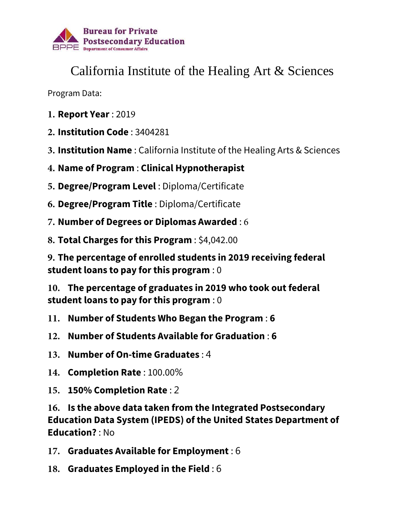

## California Institute of the Healing Art & Sciences

Program Data:

- **1. Report Year** : 2019
- **2. Institution Code** : 3404281
- **3. Institution Name** : California Institute of the Healing Arts & Sciences
- **4. Name of Program** : **Clinical Hypnotherapist**
- **5. Degree/Program Level** : Diploma/Certificate
- **6. Degree/Program Title** : Diploma/Certificate
- **7. Number of Degrees or Diplomas Awarded** : 6
- **8. Total Charges for this Program** : \$4,042.00

**9. The percentage of enrolled students in 2019 receiving federal student loans to pay for this program** : 0

**10. The percentage of graduates in 2019 who took out federal student loans to pay for this program** : 0

- **11. Number of Students Who Began the Program** : **6**
- **12. Number of Students Available for Graduation** : **6**
- **13. Number of On-time Graduates** : 4
- **14. Completion Rate** : 100.00%
- **15. 150% Completion Rate** : 2

**16. Is the above data taken from the Integrated Postsecondary Education Data System (IPEDS) of the United States Department of Education?** : No

- **17. Graduates Available for Employment** : 6
- **18. Graduates Employed in the Field** : 6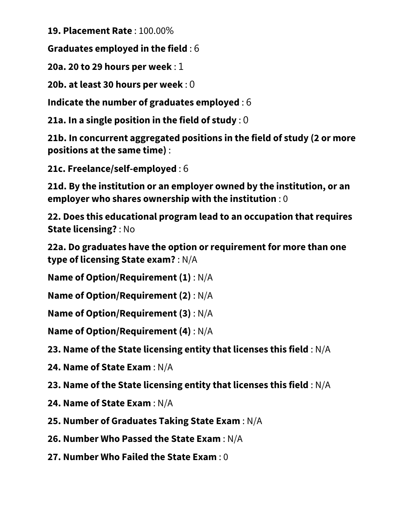**19. Placement Rate** : 100.00%

**Graduates employed in the field** : 6

**20a. 20 to 29 hours per week** : 1

**20b. at least 30 hours per week** : 0

**Indicate the number of graduates employed** : 6

**21a. In a single position in the field of study** : 0

**21b. In concurrent aggregated positions in the field of study (2 or more positions at the same time)** :

**21c. Freelance/self-employed** : 6

**21d. By the institution or an employer owned by the institution, or an employer who shares ownership with the institution** : 0

**22. Does this educational program lead to an occupation that requires State licensing?** : No

**22a. Do graduates have the option or requirement for more than one type of licensing State exam?** : N/A

**Name of Option/Requirement (1)** : N/A

**Name of Option/Requirement (2)** : N/A

**Name of Option/Requirement (3)** : N/A

**Name of Option/Requirement (4)** : N/A

**23. Name of the State licensing entity that licenses this field** : N/A

**24. Name of State Exam** : N/A

**23. Name of the State licensing entity that licenses this field** : N/A

**24. Name of State Exam** : N/A

**25. Number of Graduates Taking State Exam** : N/A

**26. Number Who Passed the State Exam** : N/A

**27. Number Who Failed the State Exam** : 0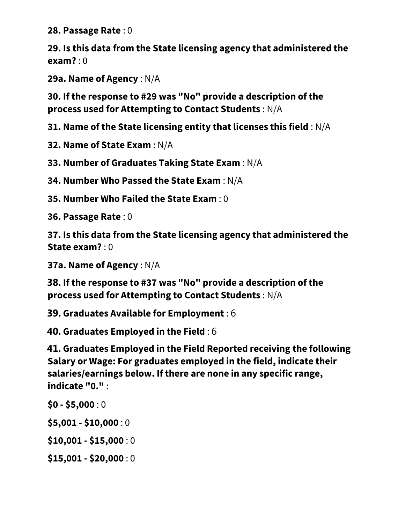**28. Passage Rate** : 0

**29. Is this data from the State licensing agency that administered the exam?** : 0

**29a. Name of Agency** : N/A

**30. If the response to #29 was "No" provide a description of the process used for Attempting to Contact Students** : N/A

**31. Name of the State licensing entity that licenses this field** : N/A

**32. Name of State Exam** : N/A

**33. Number of Graduates Taking State Exam** : N/A

**34. Number Who Passed the State Exam** : N/A

**35. Number Who Failed the State Exam** : 0

**36. Passage Rate** : 0

**37. Is this data from the State licensing agency that administered the State exam?** : 0

**37a. Name of Agency** : N/A

**38. If the response to #37 was "No" provide a description of the process used for Attempting to Contact Students** : N/A

**39. Graduates Available for Employment** : 6

**40. Graduates Employed in the Field** : 6

**41. Graduates Employed in the Field Reported receiving the following Salary or Wage: For graduates employed in the field, indicate their salaries/earnings below. If there are none in any specific range, indicate "0."** :

**\$0 - \$5,000** : 0

**\$5,001 - \$10,000** : 0

**\$10,001 - \$15,000** : 0

**\$15,001 - \$20,000** : 0